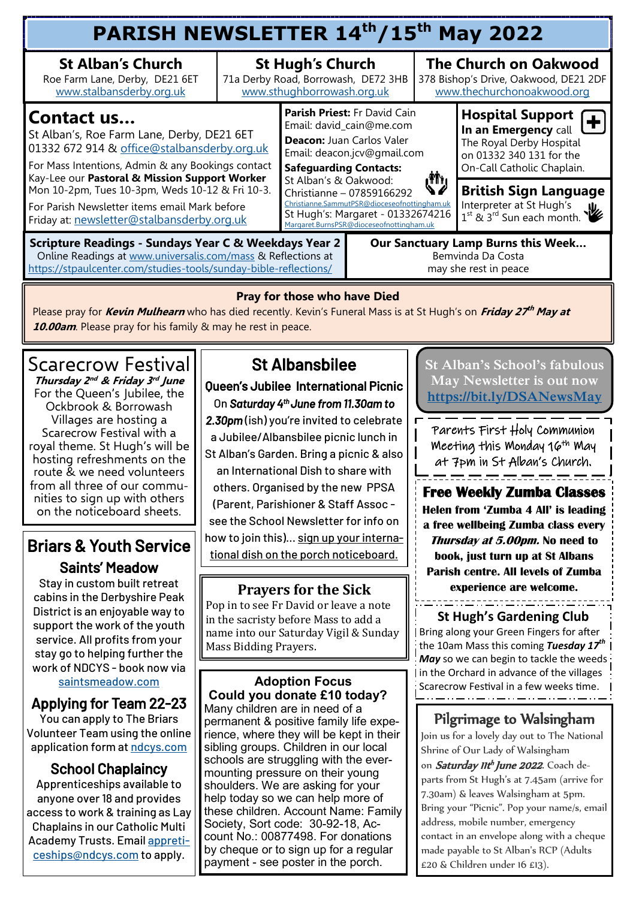| PARISH NEWSLETTER 14th/15th May 2022                                                                                                                                                                                                                                                                                                                            |                                                                                              |                                                                                                                                                                                                                                                                                                                                                     |  |                                                                                                     |                                                                                                                                                                                                                                                                                                                     |  |  |  |  |
|-----------------------------------------------------------------------------------------------------------------------------------------------------------------------------------------------------------------------------------------------------------------------------------------------------------------------------------------------------------------|----------------------------------------------------------------------------------------------|-----------------------------------------------------------------------------------------------------------------------------------------------------------------------------------------------------------------------------------------------------------------------------------------------------------------------------------------------------|--|-----------------------------------------------------------------------------------------------------|---------------------------------------------------------------------------------------------------------------------------------------------------------------------------------------------------------------------------------------------------------------------------------------------------------------------|--|--|--|--|
| <b>St Alban's Church</b><br>Roe Farm Lane, Derby, DE21 6ET<br>www.stalbansderby.org.uk                                                                                                                                                                                                                                                                          | <b>St Hugh's Church</b><br>71a Derby Road, Borrowash, DE72 3HB<br>www.sthughborrowash.org.uk |                                                                                                                                                                                                                                                                                                                                                     |  | <b>The Church on Oakwood</b><br>378 Bishop's Drive, Oakwood, DE21 2DF<br>www.thechurchonoakwood.org |                                                                                                                                                                                                                                                                                                                     |  |  |  |  |
| Contact us<br>St Alban's, Roe Farm Lane, Derby, DE21 6ET<br>01332 672 914 & office@stalbansderby.org.uk<br>For Mass Intentions, Admin & any Bookings contact<br>Kay-Lee our Pastoral & Mission Support Worker<br>Mon 10-2pm, Tues 10-3pm, Weds 10-12 & Fri 10-3.<br>For Parish Newsletter items email Mark before<br>Friday at: newsletter@stalbansderby.org.uk |                                                                                              | Parish Priest: Fr David Cain<br>Email: david_cain@me.com<br><b>Deacon: Juan Carlos Valer</b><br>Email: deacon.jcv@gmail.com<br><b>Safeguarding Contacts:</b><br>St Alban's & Oakwood:<br>Christianne - 07859166292<br>Christianne.SammutPSR@dioceseofnottingham.uk<br>St Hugh's: Margaret - 01332674216<br>Margaret.BurnsPSR@dioceseofnottingham.uk |  |                                                                                                     | Hospital Support $\left[\begin{array}{c} \begin{array}{c} \text{+} \\ \text{+} \end{array}\right]$<br>In an Emergency call<br>The Royal Derby Hospital<br>on 01332 340 131 for the<br>On-Call Catholic Chaplain.<br><b>British Sign Language</b><br>Interpreter at St Hugh's<br>$1^{st}$ & $3^{rd}$ Sun each month. |  |  |  |  |
|                                                                                                                                                                                                                                                                                                                                                                 |                                                                                              |                                                                                                                                                                                                                                                                                                                                                     |  | ر ا الأر                                                                                            |                                                                                                                                                                                                                                                                                                                     |  |  |  |  |
| <b>Scripture Readings - Sundays Year C &amp; Weekdays Year 2</b><br>Online Readings at www.universalis.com/mass & Reflections at<br>https://stpaulcenter.com/studies-tools/sunday-bible-reflections/                                                                                                                                                            | Our Sanctuary Lamp Burns this Week<br>Bemvinda Da Costa<br>may she rest in peace             |                                                                                                                                                                                                                                                                                                                                                     |  |                                                                                                     |                                                                                                                                                                                                                                                                                                                     |  |  |  |  |

#### **Pray for those who have Died**

Please pray for **Kevin Mulhearn** who has died recently. Kevin's Funeral Mass is at St Hugh's on **Friday 27 th May at 10.00am**. Please pray for his family & may he rest in peace.

# Scarecrow Festival

**Thursday 2 nd & Friday 3 rd June**  For the Queen's Jubilee, the Ockbrook & Borrowash Villages are hosting a Scarecrow Festival with a royal theme. St Hugh's will be hosting refreshments on the route & we need volunteers from all three of our communities to sign up with others on the noticeboard sheets.

# Briars & Youth Service Saints' Meadow

Stay in custom built retreat cabins in the Derbyshire Peak District is an enjoyable way to support the work of the youth service. All profits from your stay go to helping further the work of NDCYS - book now via [saintsmeadow.com](mailto:saintsmeadow.com)

#### Applying for Team 22-23

You can apply to The Briars Volunteer Team using the online application form at [ndcys.com](mailto:ndcys.com)

#### School Chaplaincy

Apprenticeships available to anyone over 18 and provides access to work & training as Lay Chaplains in our Catholic Multi Academy Trusts. Email [appreti](mailto:appreticeships@ndcys.com)[ceships@ndcys.com](mailto:appreticeships@ndcys.com) to apply.

# St Albansbilee Queen's Jubilee International Picnic

On *Saturday 4th June from 11.30am to 2.30pm* (ish) you're invited to celebrate a Jubilee/Albansbilee picnic lunch in St Alban's Garden. Bring a picnic & also an International Dish to share with others. Organised by the new PPSA (Parent, Parishioner & Staff Assoc see the School Newsletter for info on how to join this)... sign up your international dish on the porch noticeboard.

#### **Prayers for the Sick**

Pop in to see Fr David or leave a note in the sacristy before Mass to add a name into our Saturday Vigil & Sunday Mass Bidding Prayers.

#### **Adoption Focus Could you donate £10 today?**

Many children are in need of a permanent & positive family life experience, where they will be kept in their sibling groups. Children in our local schools are struggling with the evermounting pressure on their young shoulders. We are asking for your help today so we can help more of these children. Account Name: Family Society, Sort code: 30-92-18, Account No.: 00877498. For donations by cheque or to sign up for a regular payment - see poster in the porch.

#### **St Alban's School's fabulous May Newsletter is out now [https://bit.ly/DSANewsMay](mailto:https://bit.ly/DSANewsMay)**

Parents First Holy Communion Meeting this Monday 16<sup>th</sup> May at 7pm in St Alban's Church. <u> se se se se se se se se se se s</u>

#### **Free Weekly Zumba Classes**

**Helen from 'Zumba 4 All' is leading a free wellbeing Zumba class every Thursday at 5.00pm. No need to book, just turn up at St Albans Parish centre. All levels of Zumba experience are welcome.**

#### **St Hugh's Gardening Club**

Bring along your Green Fingers for after the 10am Mass this coming *Tuesday 17th May* so we can begin to tackle the weeds in the Orchard in advance of the villages Scarecrow Festival in a few weeks time.

### Pilgrimage to Walsingham

Join us for a lovely day out to The National Shrine of Our Lady of Walsingham

on Saturday IIt<sup>h</sup> June 2022. Coach departs from St Hugh's at 7.45am (arrive for 7.30am) & leaves Walsingham at 5pm. Bring your "Picnic". Pop your name/s, email address, mobile number, emergency contact in an envelope along with a cheque made payable to St Alban's RCP (Adults £20 & Children under 16 £13).